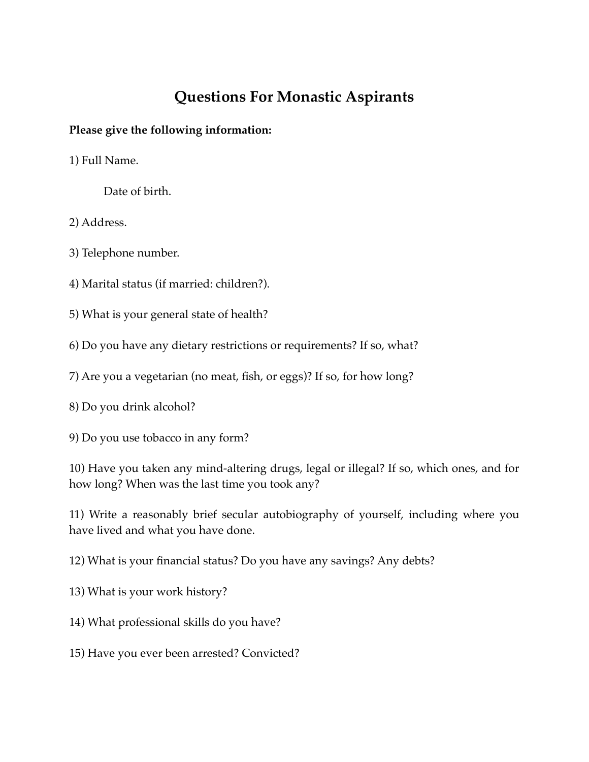## **Questions For Monastic Aspirants**

## **Please give the following information:**

1) Full Name.

Date of birth.

2) Address.

3) Telephone number.

4) Marital status (if married: children?).

5) What is your general state of health?

6) Do you have any dietary restrictions or requirements? If so, what?

7) Are you a vegetarian (no meat, fish, or eggs)? If so, for how long?

8) Do you drink alcohol?

9) Do you use tobacco in any form?

10) Have you taken any mind-altering drugs, legal or illegal? If so, which ones, and for how long? When was the last time you took any?

11) Write a reasonably brief secular autobiography of yourself, including where you have lived and what you have done.

12) What is your financial status? Do you have any savings? Any debts?

13) What is your work history?

14) What professional skills do you have?

15) Have you ever been arrested? Convicted?